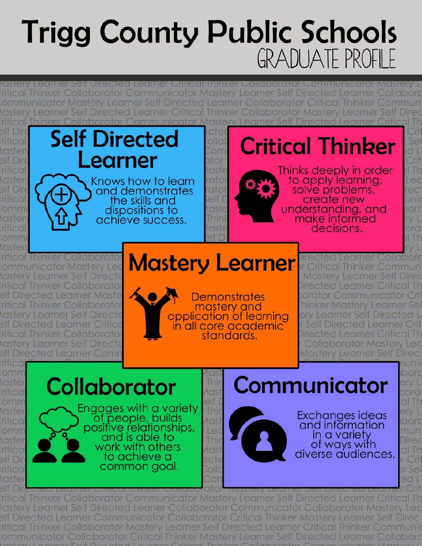# **Trigg County Public Schools GRADUATE PROFILE**

<u>testery Lecimer Seir Directed Lecimer United Thinker Colleborator Communicator Mastery L</u> Thinker Collaborator Communicator Mastery Learner Self Directed Learner Colla ommunicator Mastery Learner Self Directed Learner Collaborator Critical Thinker Commun lastery Learner Self Directed Learner Critical Thinker Collaborator Mastery Learner Self Direc Thinker Collaborator Communicator Mastery Learner Self Directed Learner Critical Th

elt Dire rifical *<u>Iaster</u>* elf Dire ritical laster elf Dire **intical** ommi laster rifica omn



**Ihinker Collaborato** ommunicator Mastery Lea lastery Learner Self Directe ritical Thinker Collaborator elf Directed Learner Maste iritical Thinker Collaborato Aastery Learner Self Directe elf Directed Learner Critico iritical Thinker Collaborato \astery Learner Self Direct( elf Directed Learner Comr

# **Mastery Learner**

**Demonstrates** mastery and application of learning<br>in all core academic standards.

Inir

Thir

Leo

Thir

 $|O||Q$ 

lirected Learner Collabord itical Thinker Commun **Mastery Learner Self Dired** Directed Learner Critical Th porator Communicator Cri hinker Mastery Learner Sel ery Learner Self Directed L Self Directed Learner Crit Directed Learner Critical Th **Collaborator Mastery Lec Mastery Learner Self Direc** 

Se

d I

Crit

11 Th

Lec

rec

Unic

porc

 $N<sub>L</sub>$ 

ora

1 Th

poc

al Th

erv L

**Iborc** 

mun

Direc

al Th

r Cri

er Sel

ed L

rifico omm **laster** rifico omn laster rifica omn laster **TITICO** elf Dir **iritico** *laste* 

**Collaborator Aast** elf Engages with a variety of people, builds Aast positive relationships, and is able to work with others Aast to achieve a есте common aoal.

Communicator

Exchanges ideas and information in a variety of ways with diverse audiences.

Thinker Collaborator Communicator Mastery Learner Self Directed Learner Critical Tr Iastery Learner Self Directed Leaner Collaborator Communicator Collaborator Mastery elf Directed Learner Communicator Collaborator Critical Thinker Mastery Learner Self Direc ritical Thinker Collaborator Mastery Learner Self Directed Learner Critical Thinker Communio Communicator Collaborator Critical Thinker Mastery Learner Self Directed Learner Collabord: